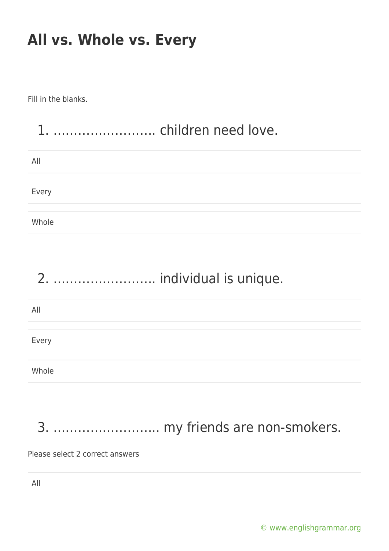Fill in the blanks.

#### 1. ……………………. children need love.

| All   |  |  |  |
|-------|--|--|--|
|       |  |  |  |
| Every |  |  |  |
|       |  |  |  |
| Whole |  |  |  |

## 2. ……………………. individual is unique.

| All   |  |
|-------|--|
|       |  |
| Every |  |
|       |  |
| Whole |  |

# 3. …………………….. my friends are non-smokers.

Please select 2 correct answers

All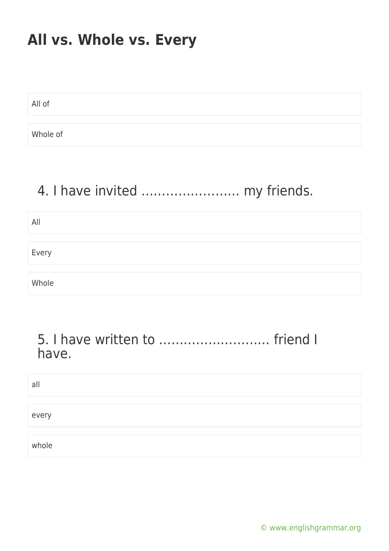All of Whole of

### 4. I have invited …………………… my friends.

All Every Whole

#### 5. I have written to ……………………… friend I have.

| al    |  |  |  |
|-------|--|--|--|
|       |  |  |  |
| every |  |  |  |
|       |  |  |  |
| whole |  |  |  |

[© www.englishgrammar.org](https://www.englishgrammar.org/)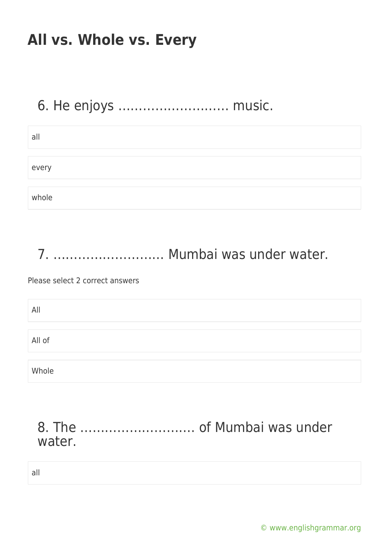#### 6. He enjoys ……………………… music.

| all   |  |  |  |
|-------|--|--|--|
|       |  |  |  |
| every |  |  |  |
|       |  |  |  |
| whole |  |  |  |

7. ……………………… Mumbai was under water.

Please select 2 correct answers

| All    |  |
|--------|--|
|        |  |
| All of |  |
|        |  |
| Whole  |  |

8. The ………………………. of Mumbai was under water.

all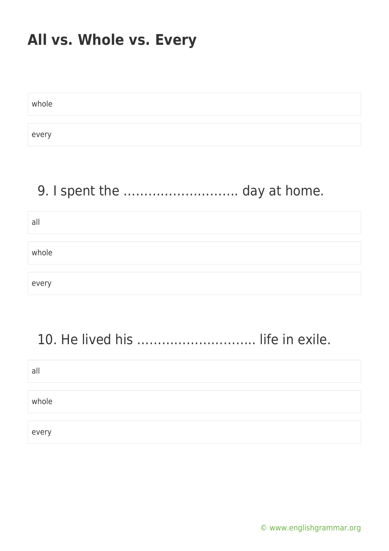whole every

#### 9. I spent the ………………………. day at home.

| all   |  |  |  |
|-------|--|--|--|
|       |  |  |  |
| whole |  |  |  |
|       |  |  |  |
| every |  |  |  |

## 10. He lived his .................................. life in exile.

| all   |  |  |
|-------|--|--|
|       |  |  |
| whole |  |  |
|       |  |  |
| every |  |  |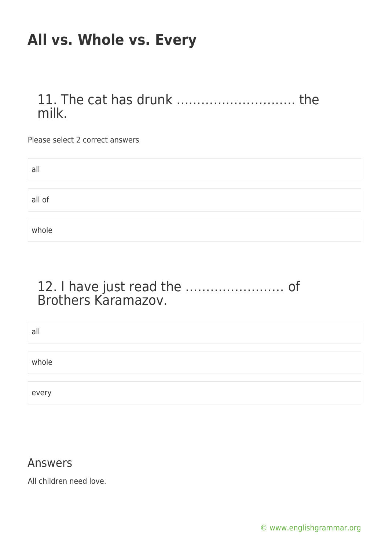11. The cat has drunk ……………………….. the milk.

Please select 2 correct answers

| all    |  |
|--------|--|
|        |  |
| all of |  |
|        |  |
| whole  |  |

#### 12. I have just read the …………………… of Brothers Karamazov.

| all   |  |
|-------|--|
|       |  |
| whole |  |
|       |  |
| every |  |

#### Answers

All children need love.